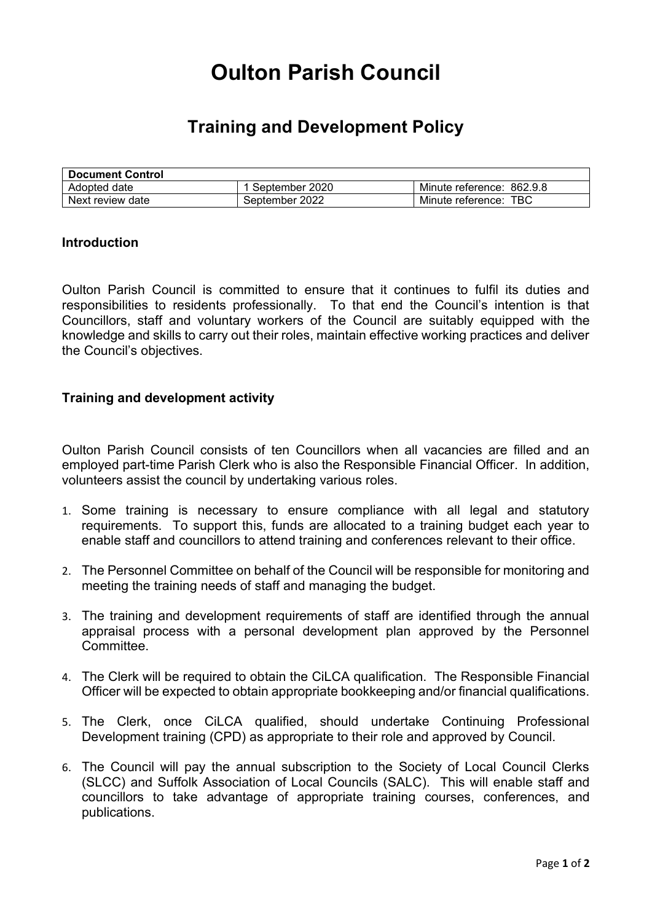# **Oulton Parish Council**

## **Training and Development Policy**

| <b>Document Control</b> |                |                           |
|-------------------------|----------------|---------------------------|
| Adopted date            | September 2020 | Minute reference: 862.9.8 |
| Next review date        | September 2022 | Minute reference:<br>твс  |

#### **Introduction**

Oulton Parish Council is committed to ensure that it continues to fulfil its duties and responsibilities to residents professionally. To that end the Council's intention is that Councillors, staff and voluntary workers of the Council are suitably equipped with the knowledge and skills to carry out their roles, maintain effective working practices and deliver the Council's objectives.

#### **Training and development activity**

Oulton Parish Council consists of ten Councillors when all vacancies are filled and an employed part-time Parish Clerk who is also the Responsible Financial Officer. In addition, volunteers assist the council by undertaking various roles.

- 1. Some training is necessary to ensure compliance with all legal and statutory requirements. To support this, funds are allocated to a training budget each year to enable staff and councillors to attend training and conferences relevant to their office.
- 2. The Personnel Committee on behalf of the Council will be responsible for monitoring and meeting the training needs of staff and managing the budget.
- 3. The training and development requirements of staff are identified through the annual appraisal process with a personal development plan approved by the Personnel Committee.
- 4. The Clerk will be required to obtain the CiLCA qualification. The Responsible Financial Officer will be expected to obtain appropriate bookkeeping and/or financial qualifications.
- 5. The Clerk, once CiLCA qualified, should undertake Continuing Professional Development training (CPD) as appropriate to their role and approved by Council.
- 6. The Council will pay the annual subscription to the Society of Local Council Clerks (SLCC) and Suffolk Association of Local Councils (SALC). This will enable staff and councillors to take advantage of appropriate training courses, conferences, and publications.